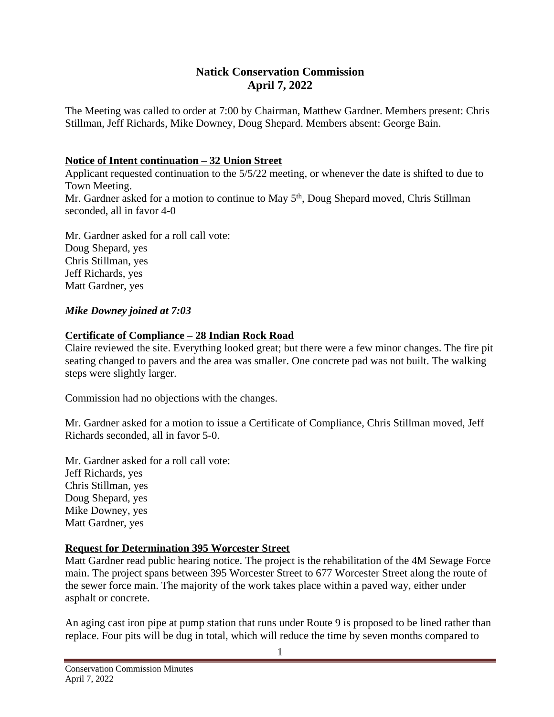# **Natick Conservation Commission April 7, 2022**

The Meeting was called to order at 7:00 by Chairman, Matthew Gardner. Members present: Chris Stillman, Jeff Richards, Mike Downey, Doug Shepard. Members absent: George Bain.

#### **Notice of Intent continuation – 32 Union Street**

Applicant requested continuation to the 5/5/22 meeting, or whenever the date is shifted to due to Town Meeting. Mr. Gardner asked for a motion to continue to May 5<sup>th</sup>, Doug Shepard moved, Chris Stillman seconded, all in favor 4-0

Mr. Gardner asked for a roll call vote: Doug Shepard, yes Chris Stillman, yes Jeff Richards, yes Matt Gardner, yes

### *Mike Downey joined at 7:03*

### **Certificate of Compliance – 28 Indian Rock Road**

Claire reviewed the site. Everything looked great; but there were a few minor changes. The fire pit seating changed to pavers and the area was smaller. One concrete pad was not built. The walking steps were slightly larger.

Commission had no objections with the changes.

Mr. Gardner asked for a motion to issue a Certificate of Compliance, Chris Stillman moved, Jeff Richards seconded, all in favor 5-0.

Mr. Gardner asked for a roll call vote: Jeff Richards, yes Chris Stillman, yes Doug Shepard, yes Mike Downey, yes Matt Gardner, yes

#### **Request for Determination 395 Worcester Street**

Matt Gardner read public hearing notice. The project is the rehabilitation of the 4M Sewage Force main. The project spans between 395 Worcester Street to 677 Worcester Street along the route of the sewer force main. The majority of the work takes place within a paved way, either under asphalt or concrete.

An aging cast iron pipe at pump station that runs under Route 9 is proposed to be lined rather than replace. Four pits will be dug in total, which will reduce the time by seven months compared to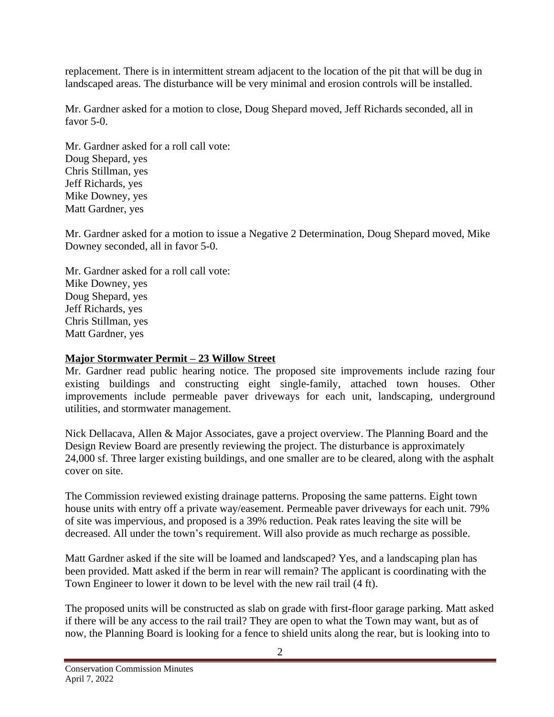replacement. There is in intermittent stream adjacent to the location of the pit that will be dug in landscaped areas. The disturbance will be very minimal and erosion controls will be installed.

Mr. Gardner asked for a motion to close, Doug Shepard moved, Jeff Richards seconded, all in favor 5-0.

Mr. Gardner asked for a roll call vote: Doug Shepard, yes Chris Stillman, yes Jeff Richards, yes Mike Downey, yes Matt Gardner, yes

Mr. Gardner asked for a motion to issue a Negative 2 Determination, Doug Shepard moved, Mike Downey seconded, all in favor 5-0.

Mr. Gardner asked for a roll call vote: Mike Downey, yes Doug Shepard, yes Jeff Richards, yes Chris Stillman, yes Matt Gardner, yes

### **Major Stormwater Permit – 23 Willow Street**

Mr. Gardner read public hearing notice. The proposed site improvements include razing four existing buildings and constructing eight single-family, attached town houses. Other improvements include permeable paver driveways for each unit, landscaping, underground utilities, and stormwater management.

Nick Dellacava, Allen & Major Associates, gave a project overview. The Planning Board and the Design Review Board are presently reviewing the project. The disturbance is approximately 24,000 sf. Three larger existing buildings, and one smaller are to be cleared, along with the asphalt cover on site.

The Commission reviewed existing drainage patterns. Proposing the same patterns. Eight town house units with entry off a private way/easement. Permeable paver driveways for each unit. 79% of site was impervious, and proposed is a 39% reduction. Peak rates leaving the site will be decreased. All under the town's requirement. Will also provide as much recharge as possible.

Matt Gardner asked if the site will be loamed and landscaped? Yes, and a landscaping plan has been provided. Matt asked if the berm in rear will remain? The applicant is coordinating with the Town Engineer to lower it down to be level with the new rail trail (4 ft).

The proposed units will be constructed as slab on grade with first-floor garage parking. Matt asked if there will be any access to the rail trail? They are open to what the Town may want, but as of now, the Planning Board is looking for a fence to shield units along the rear, but is looking into to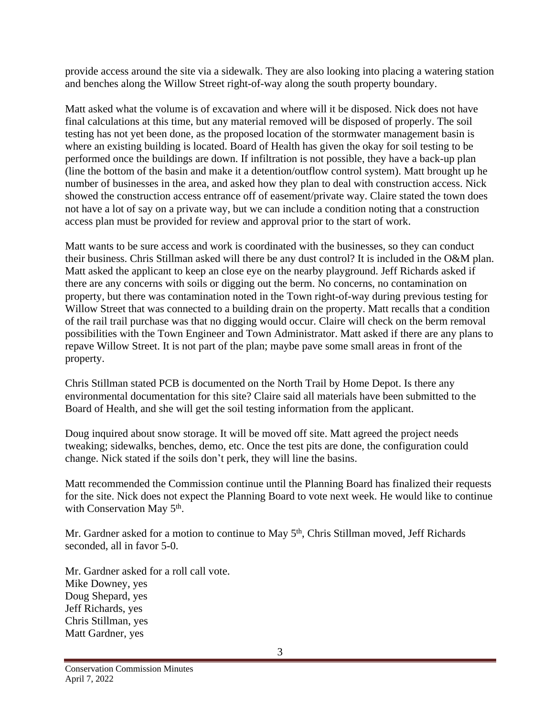provide access around the site via a sidewalk. They are also looking into placing a watering station and benches along the Willow Street right-of-way along the south property boundary.

Matt asked what the volume is of excavation and where will it be disposed. Nick does not have final calculations at this time, but any material removed will be disposed of properly. The soil testing has not yet been done, as the proposed location of the stormwater management basin is where an existing building is located. Board of Health has given the okay for soil testing to be performed once the buildings are down. If infiltration is not possible, they have a back-up plan (line the bottom of the basin and make it a detention/outflow control system). Matt brought up he number of businesses in the area, and asked how they plan to deal with construction access. Nick showed the construction access entrance off of easement/private way. Claire stated the town does not have a lot of say on a private way, but we can include a condition noting that a construction access plan must be provided for review and approval prior to the start of work.

Matt wants to be sure access and work is coordinated with the businesses, so they can conduct their business. Chris Stillman asked will there be any dust control? It is included in the O&M plan. Matt asked the applicant to keep an close eye on the nearby playground. Jeff Richards asked if there are any concerns with soils or digging out the berm. No concerns, no contamination on property, but there was contamination noted in the Town right-of-way during previous testing for Willow Street that was connected to a building drain on the property. Matt recalls that a condition of the rail trail purchase was that no digging would occur. Claire will check on the berm removal possibilities with the Town Engineer and Town Administrator. Matt asked if there are any plans to repave Willow Street. It is not part of the plan; maybe pave some small areas in front of the property.

Chris Stillman stated PCB is documented on the North Trail by Home Depot. Is there any environmental documentation for this site? Claire said all materials have been submitted to the Board of Health, and she will get the soil testing information from the applicant.

Doug inquired about snow storage. It will be moved off site. Matt agreed the project needs tweaking; sidewalks, benches, demo, etc. Once the test pits are done, the configuration could change. Nick stated if the soils don't perk, they will line the basins.

Matt recommended the Commission continue until the Planning Board has finalized their requests for the site. Nick does not expect the Planning Board to vote next week. He would like to continue with Conservation May 5<sup>th</sup>.

Mr. Gardner asked for a motion to continue to May 5<sup>th</sup>, Chris Stillman moved, Jeff Richards seconded, all in favor 5-0.

Mr. Gardner asked for a roll call vote. Mike Downey, yes Doug Shepard, yes Jeff Richards, yes Chris Stillman, yes Matt Gardner, yes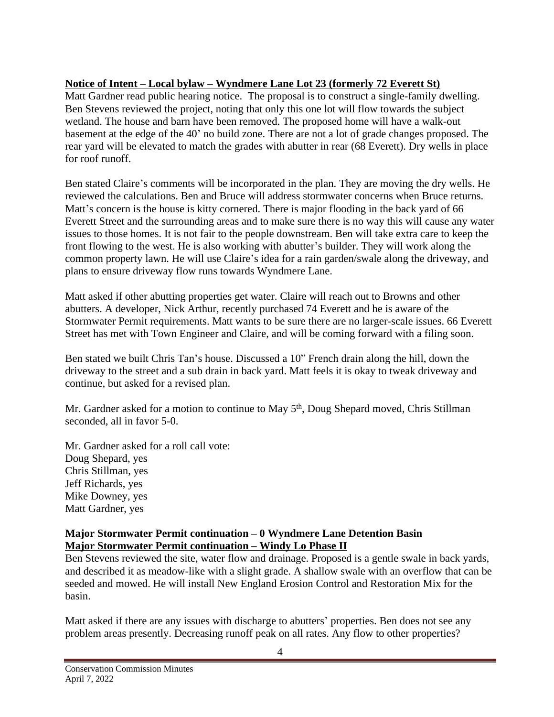# **Notice of Intent – Local bylaw – Wyndmere Lane Lot 23 (formerly 72 Everett St)**

Matt Gardner read public hearing notice. The proposal is to construct a single-family dwelling. Ben Stevens reviewed the project, noting that only this one lot will flow towards the subject wetland. The house and barn have been removed. The proposed home will have a walk-out basement at the edge of the 40' no build zone. There are not a lot of grade changes proposed. The rear yard will be elevated to match the grades with abutter in rear (68 Everett). Dry wells in place for roof runoff.

Ben stated Claire's comments will be incorporated in the plan. They are moving the dry wells. He reviewed the calculations. Ben and Bruce will address stormwater concerns when Bruce returns. Matt's concern is the house is kitty cornered. There is major flooding in the back yard of 66 Everett Street and the surrounding areas and to make sure there is no way this will cause any water issues to those homes. It is not fair to the people downstream. Ben will take extra care to keep the front flowing to the west. He is also working with abutter's builder. They will work along the common property lawn. He will use Claire's idea for a rain garden/swale along the driveway, and plans to ensure driveway flow runs towards Wyndmere Lane.

Matt asked if other abutting properties get water. Claire will reach out to Browns and other abutters. A developer, Nick Arthur, recently purchased 74 Everett and he is aware of the Stormwater Permit requirements. Matt wants to be sure there are no larger-scale issues. 66 Everett Street has met with Town Engineer and Claire, and will be coming forward with a filing soon.

Ben stated we built Chris Tan's house. Discussed a 10" French drain along the hill, down the driveway to the street and a sub drain in back yard. Matt feels it is okay to tweak driveway and continue, but asked for a revised plan.

Mr. Gardner asked for a motion to continue to May 5<sup>th</sup>, Doug Shepard moved, Chris Stillman seconded, all in favor 5-0.

Mr. Gardner asked for a roll call vote: Doug Shepard, yes Chris Stillman, yes Jeff Richards, yes Mike Downey, yes Matt Gardner, yes

### **Major Stormwater Permit continuation – 0 Wyndmere Lane Detention Basin Major Stormwater Permit continuation – Windy Lo Phase II**

Ben Stevens reviewed the site, water flow and drainage. Proposed is a gentle swale in back yards, and described it as meadow-like with a slight grade. A shallow swale with an overflow that can be seeded and mowed. He will install New England Erosion Control and Restoration Mix for the basin.

Matt asked if there are any issues with discharge to abutters' properties. Ben does not see any problem areas presently. Decreasing runoff peak on all rates. Any flow to other properties?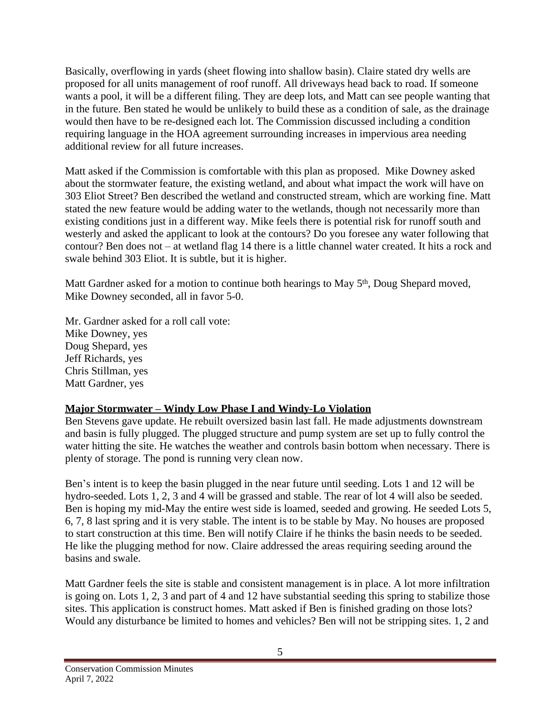Basically, overflowing in yards (sheet flowing into shallow basin). Claire stated dry wells are proposed for all units management of roof runoff. All driveways head back to road. If someone wants a pool, it will be a different filing. They are deep lots, and Matt can see people wanting that in the future. Ben stated he would be unlikely to build these as a condition of sale, as the drainage would then have to be re-designed each lot. The Commission discussed including a condition requiring language in the HOA agreement surrounding increases in impervious area needing additional review for all future increases.

Matt asked if the Commission is comfortable with this plan as proposed. Mike Downey asked about the stormwater feature, the existing wetland, and about what impact the work will have on 303 Eliot Street? Ben described the wetland and constructed stream, which are working fine. Matt stated the new feature would be adding water to the wetlands, though not necessarily more than existing conditions just in a different way. Mike feels there is potential risk for runoff south and westerly and asked the applicant to look at the contours? Do you foresee any water following that contour? Ben does not – at wetland flag 14 there is a little channel water created. It hits a rock and swale behind 303 Eliot. It is subtle, but it is higher.

Matt Gardner asked for a motion to continue both hearings to May 5<sup>th</sup>, Doug Shepard moved, Mike Downey seconded, all in favor 5-0.

Mr. Gardner asked for a roll call vote: Mike Downey, yes Doug Shepard, yes Jeff Richards, yes

Chris Stillman, yes Matt Gardner, yes

# **Major Stormwater – Windy Low Phase I and Windy-Lo Violation**

Ben Stevens gave update. He rebuilt oversized basin last fall. He made adjustments downstream and basin is fully plugged. The plugged structure and pump system are set up to fully control the water hitting the site. He watches the weather and controls basin bottom when necessary. There is plenty of storage. The pond is running very clean now.

Ben's intent is to keep the basin plugged in the near future until seeding. Lots 1 and 12 will be hydro-seeded. Lots 1, 2, 3 and 4 will be grassed and stable. The rear of lot 4 will also be seeded. Ben is hoping my mid-May the entire west side is loamed, seeded and growing. He seeded Lots 5, 6, 7, 8 last spring and it is very stable. The intent is to be stable by May. No houses are proposed to start construction at this time. Ben will notify Claire if he thinks the basin needs to be seeded. He like the plugging method for now. Claire addressed the areas requiring seeding around the basins and swale.

Matt Gardner feels the site is stable and consistent management is in place. A lot more infiltration is going on. Lots 1, 2, 3 and part of 4 and 12 have substantial seeding this spring to stabilize those sites. This application is construct homes. Matt asked if Ben is finished grading on those lots? Would any disturbance be limited to homes and vehicles? Ben will not be stripping sites. 1, 2 and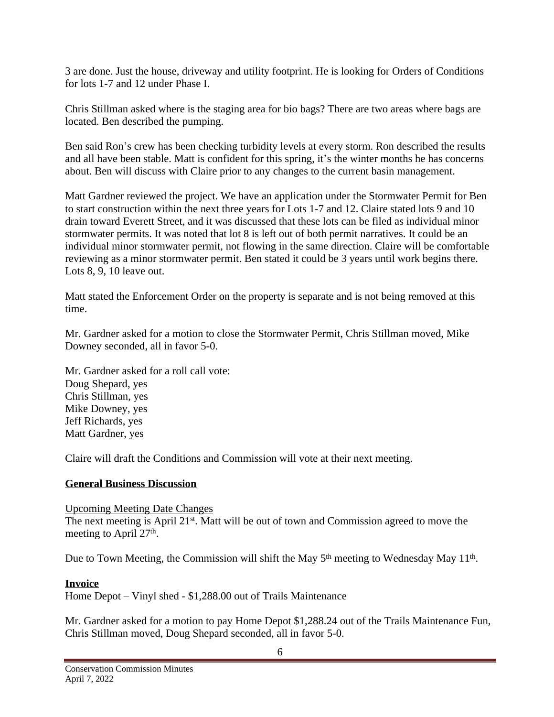3 are done. Just the house, driveway and utility footprint. He is looking for Orders of Conditions for lots 1-7 and 12 under Phase I.

Chris Stillman asked where is the staging area for bio bags? There are two areas where bags are located. Ben described the pumping.

Ben said Ron's crew has been checking turbidity levels at every storm. Ron described the results and all have been stable. Matt is confident for this spring, it's the winter months he has concerns about. Ben will discuss with Claire prior to any changes to the current basin management.

Matt Gardner reviewed the project. We have an application under the Stormwater Permit for Ben to start construction within the next three years for Lots 1-7 and 12. Claire stated lots 9 and 10 drain toward Everett Street, and it was discussed that these lots can be filed as individual minor stormwater permits. It was noted that lot 8 is left out of both permit narratives. It could be an individual minor stormwater permit, not flowing in the same direction. Claire will be comfortable reviewing as a minor stormwater permit. Ben stated it could be 3 years until work begins there. Lots 8, 9, 10 leave out.

Matt stated the Enforcement Order on the property is separate and is not being removed at this time.

Mr. Gardner asked for a motion to close the Stormwater Permit, Chris Stillman moved, Mike Downey seconded, all in favor 5-0.

Mr. Gardner asked for a roll call vote: Doug Shepard, yes Chris Stillman, yes Mike Downey, yes Jeff Richards, yes Matt Gardner, yes

Claire will draft the Conditions and Commission will vote at their next meeting.

## **General Business Discussion**

#### Upcoming Meeting Date Changes

The next meeting is April 21<sup>st</sup>. Matt will be out of town and Commission agreed to move the meeting to April 27<sup>th</sup>.

Due to Town Meeting, the Commission will shift the May 5<sup>th</sup> meeting to Wednesday May 11<sup>th</sup>.

## **Invoice**

Home Depot – Vinyl shed - \$1,288.00 out of Trails Maintenance

Mr. Gardner asked for a motion to pay Home Depot \$1,288.24 out of the Trails Maintenance Fun, Chris Stillman moved, Doug Shepard seconded, all in favor 5-0.